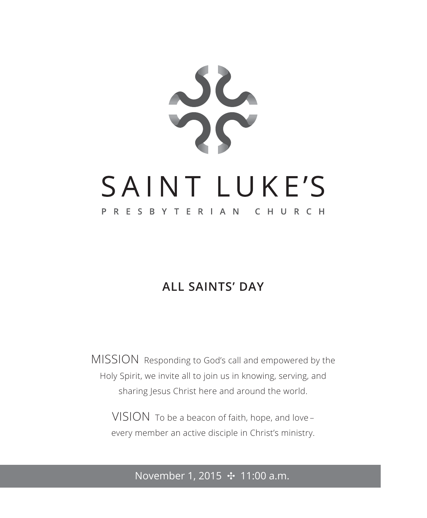

### **ALL SAINTS' DAY**

MISSION Responding to God's call and empowered by the Holy Spirit, we invite all to join us in knowing, serving, and sharing Jesus Christ here and around the world.

VISION To be a beacon of faith, hope, and love – every member an active disciple in Christ's ministry.

November 1, 2015 **⊹** 11:00 a.m.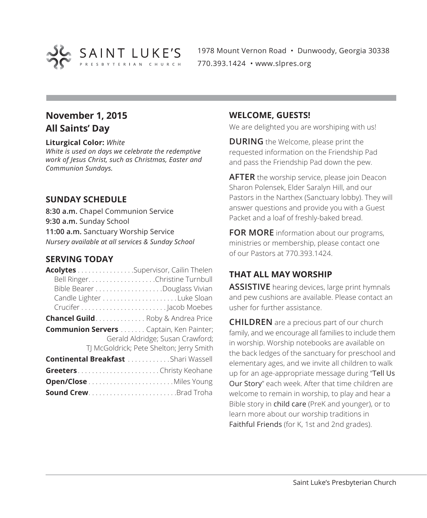

1978 Mount Vernon Road • Dunwoody, Georgia 30338 770.393.1424 • www.slpres.org

### **November 1, 2015 All Saints' Day**

### **Liturgical Color:** *White*

*White is used on days we celebrate the redemptive work of Jesus Christ, such as Christmas, Easter and Communion Sundays.* 

### **SUNDAY SCHEDULE**

**8:30 a.m.** Chapel Communion Service **9:30 a.m.** Sunday School **11:00 a.m.** Sanctuary Worship Service *Nursery available at all services & Sunday School*

### **SERVING TODAY**

| Acolytes Supervisor, Cailin Thelen              |                                          |
|-------------------------------------------------|------------------------------------------|
|                                                 | Bell Ringer. Christine Turnbull          |
|                                                 |                                          |
|                                                 |                                          |
|                                                 |                                          |
| <b>Chancel Guild</b> Roby & Andrea Price        |                                          |
| <b>Communion Servers </b> Captain, Ken Painter; |                                          |
|                                                 | Gerald Aldridge; Susan Crawford;         |
|                                                 | TJ McGoldrick; Pete Shelton; Jerry Smith |
| <b>Continental Breakfast</b> Shari Wassell      |                                          |
|                                                 |                                          |
|                                                 |                                          |
|                                                 |                                          |

### **WELCOME, GUESTS!**

We are delighted you are worshiping with us!

**DURING** the Welcome, please print the requested information on the Friendship Pad and pass the Friendship Pad down the pew.

**AFTER** the worship service, please join Deacon Sharon Polensek, Elder Saralyn Hill, and our Pastors in the Narthex (Sanctuary lobby). They will answer questions and provide you with a Guest Packet and a loaf of freshly-baked bread.

**FOR MORE** information about our programs, ministries or membership, please contact one of our Pastors at 770.393.1424.

### **THAT ALL MAY WORSHIP**

**ASSISTIVE** hearing devices, large print hymnals and pew cushions are available. Please contact an usher for further assistance.

**CHILDREN** are a precious part of our church family, and we encourage all families to include them in worship. Worship notebooks are available on the back ledges of the sanctuary for preschool and elementary ages, and we invite all children to walk up for an age-appropriate message during "Tell Us Our Story" each week. After that time children are welcome to remain in worship, to play and hear a Bible story in child care (PreK and younger), or to learn more about our worship traditions in Faithful Friends (for K, 1st and 2nd grades).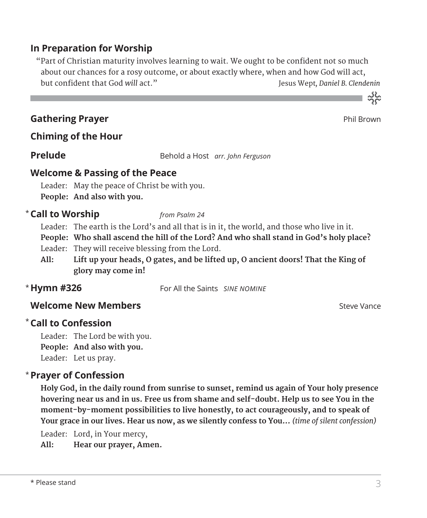### **In Preparation for Worship**

 "Part of Christian maturity involves learning to wait. We ought to be confident not so much about our chances for a rosy outcome, or about exactly where, when and how God will act, but confident that God *will* act." Jesus Wept*, Daniel B. Clendenin* 

### **Gathering Prayer Phil Brown Control Control of the Control Control Control Control Phil Brown Phil Brown Phil Brown Control Control Control Control Control Control Control Control Control Control Control Control Control**

**Chiming of the Hour**

**Prelude** Behold a Host *arr. John Ferguson* 

### **Welcome & Passing of the Peace**

Leader: May the peace of Christ be with you. **People: And also with you.**

### **Call to Worship** *from Psalm 24* \*

Leader: The earth is the Lord's and all that is in it, the world, and those who live in it.

- **People: Who shall ascend the hill of the Lord? And who shall stand in God's holy place?**
- Leader: They will receive blessing from the Lord.
- **All: Lift up your heads, O gates, and be lifted up, O ancient doors! That the King of glory may come in!**
- \* Hymn #326

For All the Saints *SINE NOMINE* 

### **Welcome New Members**  $\bullet$  Steve Vance

### **Call to Confession**  \*

Leader: The Lord be with you. **People: And also with you.** Leader: Let us pray.

### **Prayer of Confession**  \*

 **Holy God, in the daily round from sunrise to sunset, remind us again of Your holy presence hovering near us and in us. Free us from shame and self-doubt. Help us to see You in the moment-by-moment possibilities to live honestly, to act courageously, and to speak of Your grace in our lives. Hear us now, as we silently confess to You...** *(time of silent confession)*

Leader: Lord, in Your mercy,

**All: Hear our prayer, Amen.**



ے<br>مہ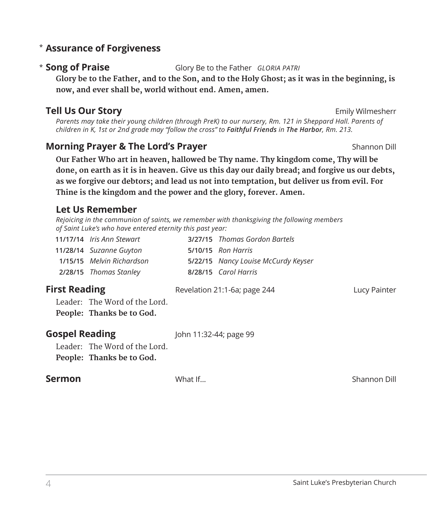### **Assurance of Forgiveness** \*

### \* Song of Praise

**Song of Praise** Glory Be to the Father *GLORIA PATRI*

 **Glory be to the Father, and to the Son, and to the Holy Ghost; as it was in the beginning, is now, and ever shall be, world without end. Amen, amen.**

### **Tell Us Our Story Emily Wilmesherr Emily Wilmesherr**

*Parents may take their young children (through PreK) to our nursery, Rm. 121 in Sheppard Hall. Parents of children in K, 1st or 2nd grade may "follow the cross" to Faithful Friends in The Harbor, Rm. 213.* 

### **Morning Prayer & The Lord's Prayer** Shannon Dill

 **Our Father Who art in heaven, hallowed be Thy name. Thy kingdom come, Thy will be done, on earth as it is in heaven. Give us this day our daily bread; and forgive us our debts, as we forgive our debtors; and lead us not into temptation, but deliver us from evil. For Thine is the kingdom and the power and the glory, forever. Amen.**

### **Let Us Remember**

*Rejoicing in the communion of saints, we remember with thanksgiving the following members of Saint Luke's who have entered eternity this past year:*

|                       | 11/17/14 Iris Ann Stewart<br>11/28/14 Suzanne Guyton<br>1/15/15 Melvin Richardson    |                        | 3/27/15 Thomas Gordon Bartels<br>5/10/15 Ron Harris<br>5/22/15 Nancy Louise McCurdy Keyser |              |
|-----------------------|--------------------------------------------------------------------------------------|------------------------|--------------------------------------------------------------------------------------------|--------------|
| <b>First Reading</b>  | 2/28/15 Thomas Stanley<br>Leader: The Word of the Lord.<br>People: Thanks be to God. |                        | 8/28/15 Carol Harris<br>Revelation 21:1-6a; page 244                                       | Lucy Painter |
| <b>Gospel Reading</b> | Leader: The Word of the Lord.<br>People: Thanks be to God.                           | John 11:32-44; page 99 |                                                                                            |              |
| Sermon                |                                                                                      | What If                |                                                                                            | Shannon Dill |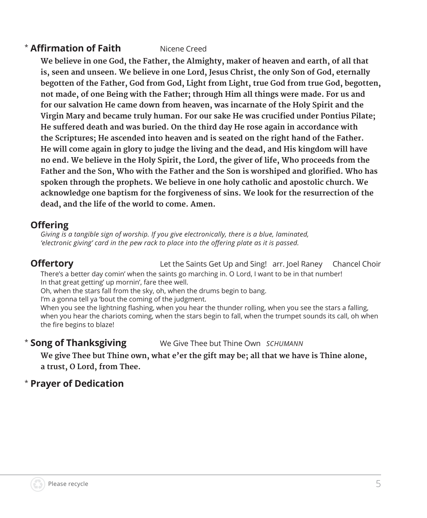### **\* Affirmation of Faith** Nicene Creed

 **We believe in one God, the Father, the Almighty, maker of heaven and earth, of all that is, seen and unseen. We believe in one Lord, Jesus Christ, the only Son of God, eternally begotten of the Father, God from God, Light from Light, true God from true God, begotten, not made, of one Being with the Father; through Him all things were made. For us and for our salvation He came down from heaven, was incarnate of the Holy Spirit and the Virgin Mary and became truly human. For our sake He was crucified under Pontius Pilate; He suffered death and was buried. On the third day He rose again in accordance with the Scriptures; He ascended into heaven and is seated on the right hand of the Father. He will come again in glory to judge the living and the dead, and His kingdom will have no end. We believe in the Holy Spirit, the Lord, the giver of life, Who proceeds from the Father and the Son, Who with the Father and the Son is worshiped and glorified. Who has spoken through the prophets. We believe in one holy catholic and apostolic church. We acknowledge one baptism for the forgiveness of sins. We look for the resurrection of the dead, and the life of the world to come. Amen.**

### **Offering**

*Giving is a tangible sign of worship. If you give electronically, there is a blue, laminated, 'electronic giving' card in the pew rack to place into the offering plate as it is passed.* 

**Offertory** Let the Saints Get Up and Sing! arr. Joel Raney Chancel Choir There's a better day comin' when the saints go marching in. O Lord, I want to be in that number!

In that great getting' up mornin', fare thee well.

Oh, when the stars fall from the sky, oh, when the drums begin to bang.

I'm a gonna tell ya 'bout the coming of the judgment.

When you see the lightning flashing, when you hear the thunder rolling, when you see the stars a falling, when you hear the chariots coming, when the stars begin to fall, when the trumpet sounds its call, oh when the fire begins to blaze!

#### \* Song of Thanksgiving **Song of Thanksgiving** We Give Thee but Thine Own *SCHUMANN*

 **We give Thee but Thine own, what e'er the gift may be; all that we have is Thine alone, a trust, O Lord, from Thee.**

### \* **Prayer of Dedication**

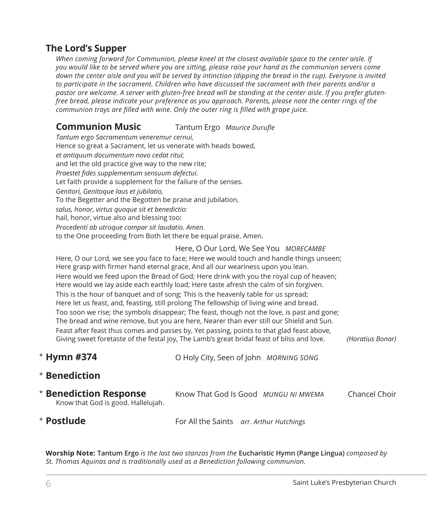### **The Lord's Supper**

*When coming forward for Communion, please kneel at the closest available space to the center aisle. If you would like to be served where you are sitting, please raise your hand as the communion servers come*  down the center aisle and you will be served by intinction (dipping the bread in the cup). Everyone is invited *to participate in the sacrament. Children who have discussed the sacrament with their parents and/or a pastor are welcome. A server with gluten-free bread will be standing at the center aisle. If you prefer glutenfree bread, please indicate your preference as you approach. Parents, please note the center rings of the communion trays are filled with wine. Only the outer ring is filled with grape juice.*

### **Communion Music** Tantum Ergo *Maurice Durufle*

*Tantum ergo Sacramentum veneremur cernui,*  Hence so great a Sacrament, let us venerate with heads bowed, *et antiquum documentum novo cedat ritui;* and let the old practice give way to the new rite; *Praestet fides supplementum sensuum defectui.*  Let faith provide a supplement for the failure of the senses. *Genitori, Genitoque laus et jubilatio,*  To the Begetter and the Begotten be praise and jubilation, *salus, honor, virtus quoque sit et benedictio:* hail, honor, virtue also and blessing too: *Procedenti ab utroque compar sit laudatio. Amen.*  to the One proceeding from Both let there be equal praise. Amen.

### Here, O Our Lord, We See You *MORECAMBE*

 Here, O our Lord, we see you face to face; Here we would touch and handle things unseen; Here grasp with firmer hand eternal grace, And all our weariness upon you lean. Here would we feed upon the Bread of God; Here drink with you the royal cup of heaven; Here would we lay aside each earthly load; Here taste afresh the calm of sin forgiven. This is the hour of banquet and of song; This is the heavenly table for us spread; Here let us feast, and, feasting, still prolong The fellowship of living wine and bread. Too soon we rise; the symbols disappear; The feast, though not the love, is past and gone; The bread and wine remove, but you are here, Nearer than ever still our Shield and Sun. Feast after feast thus comes and passes by, Yet passing, points to that glad feast above, Giving sweet foretaste of the festal joy, The Lamb's great bridal feast of bliss and love. *(Horatius Bonar)*

**Hymn #374** O Holy City, Seen of John *MORNING SONG* \* Hymn #374

### $*$  Benediction

| $*$ Benediction Response           | Know That God Is Good MUNGU NI MWEMA | Chancel Choir |
|------------------------------------|--------------------------------------|---------------|
| Know that God is good. Hallelujah. |                                      |               |

\* Postlude

**Postlude** For All the Saints *arr. Arthur Hutchings*

**Worship Note: Tantum Ergo** *is the last two stanzas from the* **Eucharistic Hymn (Pange Lingua)** *composed by St. Thomas Aquinas and is traditionally used as a Benediction following communion.*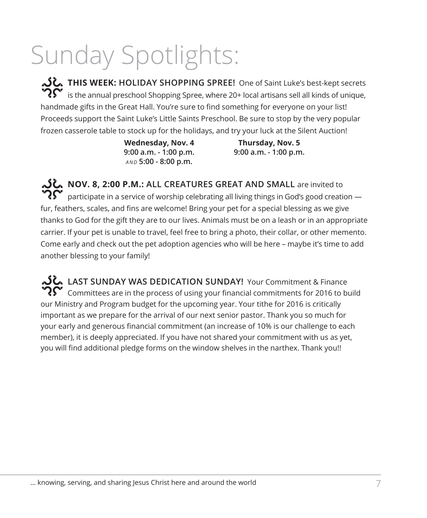# Sunday Spotlights:

**THIS WEEK:** HOLIDAY SHOPPING SPREE! One of Saint Luke's best-kept secrets<br>  $\mathbf{R}^{\bullet}$  is the annual preschool Shopping Spree, where 20+ local articans sell all kinds of unique is the annual preschool Shopping Spree, where 20+ local artisans sell all kinds of unique, handmade gifts in the Great Hall. You're sure to find something for everyone on your list! Proceeds support the Saint Luke's Little Saints Preschool. Be sure to stop by the very popular frozen casserole table to stock up for the holidays, and try your luck at the Silent Auction!

> **Wednesday, Nov. 4 Thursday, Nov. 5 9:00 a.m. - 1:00 p.m. 9:00 a.m. - 1:00 p.m.** *AND* **5:00 - 8:00 p.m.**

**NOV. 8, 2:00 P.M.: ALL CREATURES GREAT AND SMALL** are invited to participate in a service of worship celebrating all living things in God's good creation fur, feathers, scales, and fins are welcome! Bring your pet for a special blessing as we give thanks to God for the gift they are to our lives. Animals must be on a leash or in an appropriate carrier. If your pet is unable to travel, feel free to bring a photo, their collar, or other memento. Come early and check out the pet adoption agencies who will be here – maybe it's time to add another blessing to your family!

LAST SUNDAY WAS DEDICATION SUNDAY! Your Commitment & Finance  $\mathbf{R}^{\mathbf{C}}$  Committees are in the process of using your financial commitments for 2016 to build our Ministry and Program budget for the upcoming year. Your tithe for 2016 is critically important as we prepare for the arrival of our next senior pastor. Thank you so much for your early and generous financial commitment (an increase of 10% is our challenge to each member), it is deeply appreciated. If you have not shared your commitment with us as yet, you will find additional pledge forms on the window shelves in the narthex. Thank you!!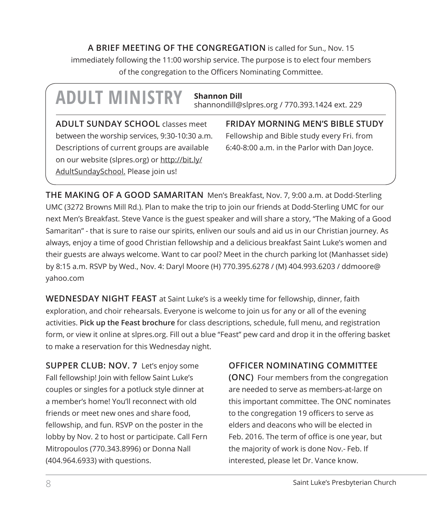**A BRIEF MEETING OF THE CONGREGATION** is called for Sun., Nov. 15 immediately following the 11:00 worship service. The purpose is to elect four members of the congregation to the Officers Nominating Committee.

## **ADULT MINISTRY Shannon Dill**

shannondill@slpres.org / 770.393.1424 ext. 229

**ADULT SUNDAY SCHOOL** classes meet between the worship services, 9:30-10:30 a.m. Descriptions of current groups are available on our website (slpres.org) or http://bit.ly/ AdultSundaySchool. Please join us!

**FRIDAY MORNING MEN'S BIBLE STUDY**  Fellowship and Bible study every Fri. from 6:40-8:00 a.m. in the Parlor with Dan Joyce.

**THE MAKING OF A GOOD SAMARITAN** Men's Breakfast, Nov. 7, 9:00 a.m. at Dodd-Sterling UMC (3272 Browns Mill Rd.). Plan to make the trip to join our friends at Dodd-Sterling UMC for our next Men's Breakfast. Steve Vance is the guest speaker and will share a story, "The Making of a Good Samaritan" - that is sure to raise our spirits, enliven our souls and aid us in our Christian journey. As always, enjoy a time of good Christian fellowship and a delicious breakfast Saint Luke's women and their guests are always welcome. Want to car pool? Meet in the church parking lot (Manhasset side) by 8:15 a.m. RSVP by Wed., Nov. 4: Daryl Moore (H) 770.395.6278 / (M) 404.993.6203 / ddmoore@ yahoo.com

**WEDNESDAY NIGHT FEAST** at Saint Luke's is a weekly time for fellowship, dinner, faith exploration, and choir rehearsals. Everyone is welcome to join us for any or all of the evening activities. **Pick up the Feast brochure** for class descriptions, schedule, full menu, and registration form, or view it online at slpres.org. Fill out a blue "Feast" pew card and drop it in the offering basket to make a reservation for this Wednesday night.

**SUPPER CLUB: NOV. 7** Let's enjoy some Fall fellowship! Join with fellow Saint Luke's couples or singles for a potluck style dinner at a member's home! You'll reconnect with old friends or meet new ones and share food, fellowship, and fun. RSVP on the poster in the lobby by Nov. 2 to host or participate. Call Fern Mitropoulos (770.343.8996) or Donna Nall (404.964.6933) with questions.

**OFFICER NOMINATING COMMITTEE** 

**(ONC)** Four members from the congregation are needed to serve as members-at-large on this important committee. The ONC nominates to the congregation 19 officers to serve as elders and deacons who will be elected in Feb. 2016. The term of office is one year, but the majority of work is done Nov.- Feb. If interested, please let Dr. Vance know.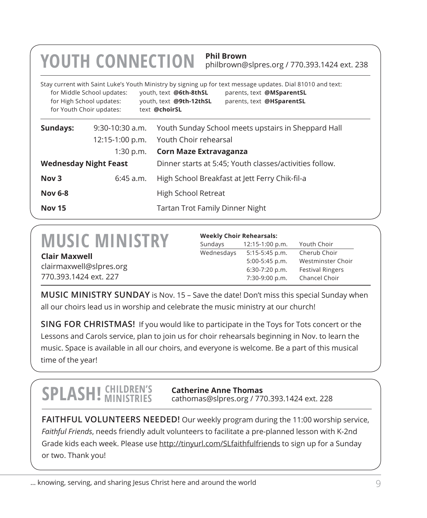### **YOUTH CONNECTION Phil Brown**

philbrown@slpres.org / 770.393.1424 ext. 238

| for High School updates:<br>for Youth Choir updates: | for Middle School updates:                                                              | Stay current with Saint Luke's Youth Ministry by signing up for text message updates. Dial 81010 and text:<br>youth, text @6th-8thSL<br>parents, text @MSparentSL<br>youth, text @9th-12thSL<br>parents, text @HSparentSL<br>text @choirSL |  |
|------------------------------------------------------|-----------------------------------------------------------------------------------------|--------------------------------------------------------------------------------------------------------------------------------------------------------------------------------------------------------------------------------------------|--|
| Sundays:                                             | $9:30-10:30$ a.m.                                                                       | Youth Sunday School meets upstairs in Sheppard Hall                                                                                                                                                                                        |  |
|                                                      | 12:15-1:00 p.m.                                                                         | Youth Choir rehearsal                                                                                                                                                                                                                      |  |
|                                                      | 1:30 p.m.                                                                               | Corn Maze Extravaganza                                                                                                                                                                                                                     |  |
|                                                      | <b>Wednesday Night Feast</b><br>Dinner starts at 5:45; Youth classes/activities follow. |                                                                                                                                                                                                                                            |  |
| Nov <sub>3</sub>                                     | $6:45$ a.m.                                                                             | High School Breakfast at Jett Ferry Chik-fil-a                                                                                                                                                                                             |  |
| <b>Nov 6-8</b>                                       |                                                                                         | High School Retreat                                                                                                                                                                                                                        |  |
| <b>Nov 15</b>                                        |                                                                                         | Tartan Trot Family Dinner Night                                                                                                                                                                                                            |  |

### **MUSIC MINISTRY**

### **Weekly Choir Rehearsals:**

| <b>IVIUSIL IVIIINISI KT</b> | Sundays    | 12:15-1:00 p.m.  | Youth Choir             |
|-----------------------------|------------|------------------|-------------------------|
| <b>Clair Maxwell</b>        | Wednesdavs | 5:15-5:45 p.m.   | Cherub Choir            |
|                             |            | $5:00-5:45$ p.m. | Westminster Choir       |
| clairmaxwell@slpres.org     |            | $6:30-7:20$ p.m. | <b>Festival Ringers</b> |
| 770.393.1424 ext. 227       |            | 7:30-9:00 p.m.   | Chancel Choir           |

**MUSIC MINISTRY SUNDAY** is Nov. 15 – Save the date! Don't miss this special Sunday when all our choirs lead us in worship and celebrate the music ministry at our church!

**SING FOR CHRISTMAS!** If you would like to participate in the Toys for Tots concert or the Lessons and Carols service, plan to join us for choir rehearsals beginning in Nov. to learn the music. Space is available in all our choirs, and everyone is welcome. Be a part of this musical time of the year!

### **SPLASH!** CHILDREN'S

**Catherine Anne Thomas** cathomas@slpres.org / 770.393.1424 ext. 228

**FAITHFUL VOLUNTEERS NEEDED!** Our weekly program during the 11:00 worship service, *Faithful Friends*, needs friendly adult volunteers to facilitate a pre-planned lesson with K-2nd Grade kids each week. Please use http://tinyurl.com/SLfaithfulfriends to sign up for a Sunday or two. Thank you!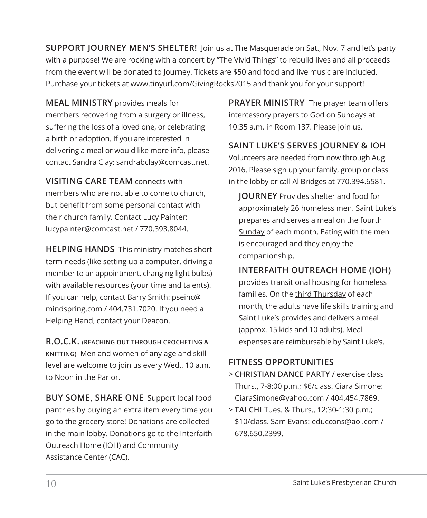**SUPPORT JOURNEY MEN'S SHELTER!** Join us at The Masquerade on Sat., Nov. 7 and let's party with a purpose! We are rocking with a concert by "The Vivid Things" to rebuild lives and all proceeds from the event will be donated to Journey. Tickets are \$50 and food and live music are included. Purchase your tickets at www.tinyurl.com/GivingRocks2015 and thank you for your support!

**MEAL MINISTRY** provides meals for members recovering from a surgery or illness, suffering the loss of a loved one, or celebrating a birth or adoption. If you are interested in delivering a meal or would like more info, please contact Sandra Clay: sandrabclay@comcast.net.

**VISITING CARE TEAM** connects with members who are not able to come to church, but benefit from some personal contact with their church family. Contact Lucy Painter: lucypainter@comcast.net / 770.393.8044.

**HELPING HANDS** This ministry matches short term needs (like setting up a computer, driving a member to an appointment, changing light bulbs) with available resources (your time and talents). If you can help, contact Barry Smith: pseinc@ mindspring.com / 404.731.7020. If you need a Helping Hand, contact your Deacon.

**R.O.C.K. (REACHING OUT THROUGH CROCHETING & KNITTING)** Men and women of any age and skill level are welcome to join us every Wed., 10 a.m. to Noon in the Parlor.

**BUY SOME, SHARE ONE** Support local food pantries by buying an extra item every time you go to the grocery store! Donations are collected in the main lobby. Donations go to the Interfaith Outreach Home (IOH) and Community Assistance Center (CAC).

**PRAYER MINISTRY** The prayer team offers intercessory prayers to God on Sundays at 10:35 a.m. in Room 137. Please join us.

**SAINT LUKE'S SERVES JOURNEY & IOH** 

Volunteers are needed from now through Aug. 2016. Please sign up your family, group or class in the lobby or call Al Bridges at 770.394.6581.

 **JOURNEY** Provides shelter and food for approximately 26 homeless men. Saint Luke's prepares and serves a meal on the fourth Sunday of each month. Eating with the men is encouraged and they enjoy the companionship.

### **INTERFAITH OUTREACH HOME (IOH)**

provides transitional housing for homeless families. On the third Thursday of each month, the adults have life skills training and Saint Luke's provides and delivers a meal (approx. 15 kids and 10 adults). Meal expenses are reimbursable by Saint Luke's.

### **FITNESS OPPORTUNITIES**

- > **CHRISTIAN DANCE PARTY** / exercise class Thurs., 7-8:00 p.m.; \$6/class. Ciara Simone: CiaraSimone@yahoo.com / 404.454.7869.
- > **TAI CHI** Tues. & Thurs., 12:30-1:30 p.m.; \$10/class. Sam Evans: educcons@aol.com / 678.650.2399.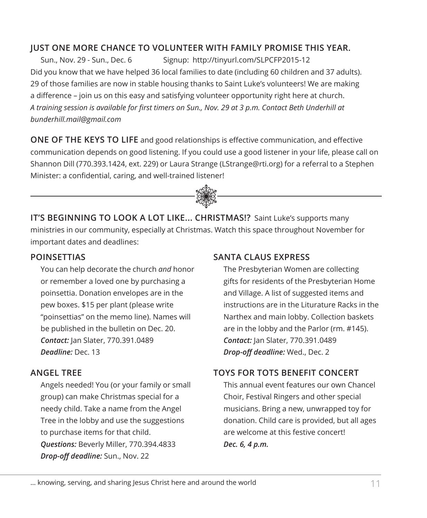### **JUST ONE MORE CHANCE TO VOLUNTEER WITH FAMILY PROMISE THIS YEAR.**

Sun., Nov. 29 - Sun., Dec. 6 Signup: http://tinyurl.com/SLPCFP2015-12 Did you know that we have helped 36 local families to date (including 60 children and 37 adults). 29 of those families are now in stable housing thanks to Saint Luke's volunteers! We are making a difference – join us on this easy and satisfying volunteer opportunity right here at church. *A training session is available for first timers on Sun., Nov. 29 at 3 p.m. Contact Beth Underhill at bunderhill.mail@gmail.com*

**ONE OF THE KEYS TO LIFE** and good relationships is effective communication, and effective communication depends on good listening. If you could use a good listener in your life, please call on Shannon Dill (770.393.1424, ext. 229) or Laura Strange (LStrange@rti.org) for a referral to a Stephen Minister: a confidential, caring, and well-trained listener! j

**IT'S BEGINNING TO LOOK A LOT LIKE... CHRISTMAS!?** Saint Luke's supports many ministries in our community, especially at Christmas. Watch this space throughout November for important dates and deadlines:

### **POINSETTIAS**

You can help decorate the church *and* honor or remember a loved one by purchasing a poinsettia. Donation envelopes are in the pew boxes. \$15 per plant (please write "poinsettias" on the memo line). Names will be published in the bulletin on Dec. 20. *Contact:* Jan Slater, 770.391.0489 *Deadline:* Dec. 13

### **ANGEL TREE**

 Angels needed! You (or your family or small group) can make Christmas special for a needy child. Take a name from the Angel Tree in the lobby and use the suggestions to purchase items for that child. *Questions:* Beverly Miller, 770.394.4833 *Drop-off deadline:* Sun., Nov. 22

### **SANTA CLAUS EXPRESS**

 The Presbyterian Women are collecting gifts for residents of the Presbyterian Home and Village. A list of suggested items and instructions are in the Liturature Racks in the Narthex and main lobby. Collection baskets are in the lobby and the Parlor (rm. #145). *Contact:* Jan Slater, 770.391.0489 *Drop-off deadline:* Wed., Dec. 2

### **TOYS FOR TOTS BENEFIT CONCERT**

 This annual event features our own Chancel Choir, Festival Ringers and other special musicians. Bring a new, unwrapped toy for donation. Child care is provided, but all ages are welcome at this festive concert! *Dec. 6, 4 p.m.*